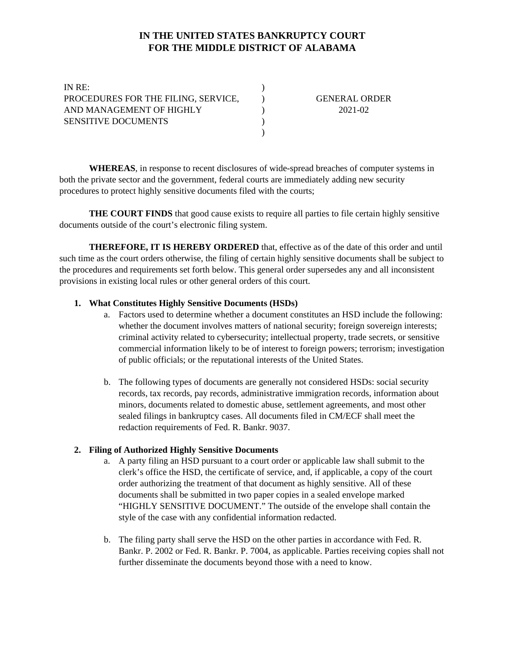# **IN THE UNITED STATES BANKRUPTCY COURT FOR THE MIDDLE DISTRICT OF ALABAMA**

)

) ) )

| IN RE:                              |  |
|-------------------------------------|--|
| PROCEDURES FOR THE FILING, SERVICE, |  |
| AND MANAGEMENT OF HIGHLY            |  |
| <b>SENSITIVE DOCUMENTS</b>          |  |
|                                     |  |

GENERAL ORDER 2021-02

**WHEREAS**, in response to recent disclosures of wide-spread breaches of computer systems in both the private sector and the government, federal courts are immediately adding new security procedures to protect highly sensitive documents filed with the courts;

**THE COURT FINDS** that good cause exists to require all parties to file certain highly sensitive documents outside of the court's electronic filing system.

**THEREFORE, IT IS HEREBY ORDERED** that, effective as of the date of this order and until such time as the court orders otherwise, the filing of certain highly sensitive documents shall be subject to the procedures and requirements set forth below. This general order supersedes any and all inconsistent provisions in existing local rules or other general orders of this court.

## **1. What Constitutes Highly Sensitive Documents (HSDs)**

- a. Factors used to determine whether a document constitutes an HSD include the following: whether the document involves matters of national security; foreign sovereign interests; criminal activity related to cybersecurity; intellectual property, trade secrets, or sensitive commercial information likely to be of interest to foreign powers; terrorism; investigation of public officials; or the reputational interests of the United States.
- b. The following types of documents are generally not considered HSDs: social security records, tax records, pay records, administrative immigration records, information about minors, documents related to domestic abuse, settlement agreements, and most other sealed filings in bankruptcy cases. All documents filed in CM/ECF shall meet the redaction requirements of Fed. R. Bankr. 9037.

#### **2. Filing of Authorized Highly Sensitive Documents**

- a. A party filing an HSD pursuant to a court order or applicable law shall submit to the clerk's office the HSD, the certificate of service, and, if applicable, a copy of the court order authorizing the treatment of that document as highly sensitive. All of these documents shall be submitted in two paper copies in a sealed envelope marked "HIGHLY SENSITIVE DOCUMENT." The outside of the envelope shall contain the style of the case with any confidential information redacted.
- b. The filing party shall serve the HSD on the other parties in accordance with Fed. R. Bankr. P. 2002 or Fed. R. Bankr. P. 7004, as applicable. Parties receiving copies shall not further disseminate the documents beyond those with a need to know.